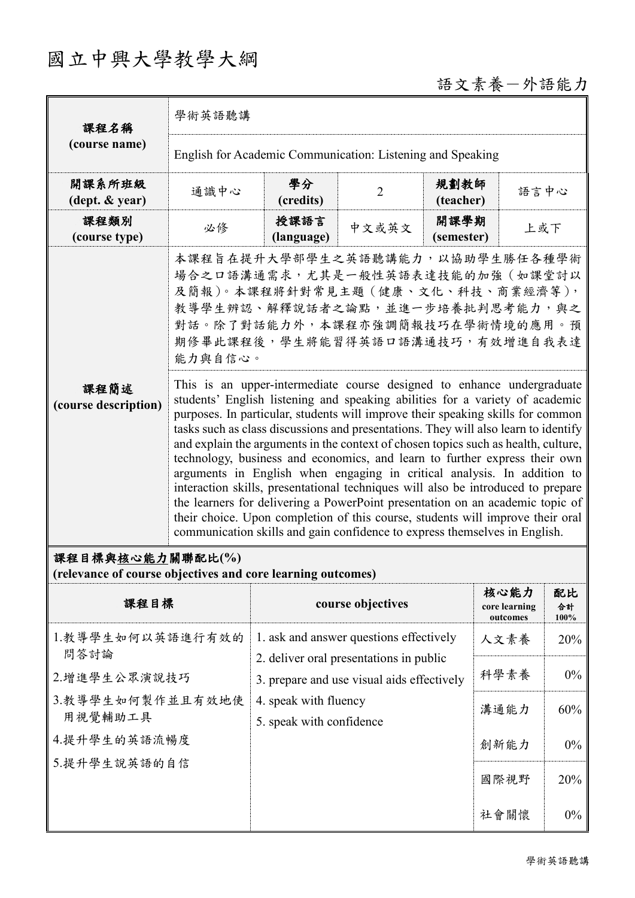## 國立中興大學教學大綱

# 語文素養一外語能力

| 課程名稱                         | 學術英語聽講                                                                                                                                                                                                                                                                                                                                                                                                                                                                                                                                                                                                                                                                                                                                                                                                                                                                                                               |                    |                |                    |      |  |
|------------------------------|----------------------------------------------------------------------------------------------------------------------------------------------------------------------------------------------------------------------------------------------------------------------------------------------------------------------------------------------------------------------------------------------------------------------------------------------------------------------------------------------------------------------------------------------------------------------------------------------------------------------------------------------------------------------------------------------------------------------------------------------------------------------------------------------------------------------------------------------------------------------------------------------------------------------|--------------------|----------------|--------------------|------|--|
| (course name)                | English for Academic Communication: Listening and Speaking                                                                                                                                                                                                                                                                                                                                                                                                                                                                                                                                                                                                                                                                                                                                                                                                                                                           |                    |                |                    |      |  |
| 開課系所班級<br>(dept. & year)     | 通識中心                                                                                                                                                                                                                                                                                                                                                                                                                                                                                                                                                                                                                                                                                                                                                                                                                                                                                                                 | 學分<br>(credits)    | $\overline{2}$ | 規劃教師<br>(teacher)  | 語言中心 |  |
| 課程類別<br>(course type)        | 必修                                                                                                                                                                                                                                                                                                                                                                                                                                                                                                                                                                                                                                                                                                                                                                                                                                                                                                                   | 授課語言<br>(language) | 中文或英文          | 開課學期<br>(semester) | 上或下  |  |
| 課程簡述<br>(course description) | 本課程旨在提升大學部學生之英語聽講能力,以協助學生勝任各種學術<br>場合之口語溝通需求,尤其是一般性英語表達技能的加強(如課堂討以<br>及簡報)。本課程將針對常見主題(健康、文化、科技、商業經濟等),<br>教導學生辨認、解釋說話者之論點,並進一步培養批判思考能力,與之<br>對話。除了對話能力外,本課程亦強調簡報技巧在學術情境的應用。預<br>期修畢此課程後,學生將能習得英語口語溝通技巧,有效增進自我表達<br>能力與自信心。                                                                                                                                                                                                                                                                                                                                                                                                                                                                                                                                                                                                                                                                                           |                    |                |                    |      |  |
|                              | This is an upper-intermediate course designed to enhance undergraduate<br>students' English listening and speaking abilities for a variety of academic<br>purposes. In particular, students will improve their speaking skills for common<br>tasks such as class discussions and presentations. They will also learn to identify<br>and explain the arguments in the context of chosen topics such as health, culture,<br>technology, business and economics, and learn to further express their own<br>arguments in English when engaging in critical analysis. In addition to<br>interaction skills, presentational techniques will also be introduced to prepare<br>the learners for delivering a PowerPoint presentation on an academic topic of<br>their choice. Upon completion of this course, students will improve their oral<br>communication skills and gain confidence to express themselves in English. |                    |                |                    |      |  |

### 課程目標與核心能力關聯配比**(%)**

**(relevance of course objectives and core learning outcomes)**

| 課程目標                        | course objectives                                                                                                                                                                     | 核心能力<br>core learning<br>outcomes | 配比<br>合計<br>100% |
|-----------------------------|---------------------------------------------------------------------------------------------------------------------------------------------------------------------------------------|-----------------------------------|------------------|
| 1.教導學生如何以英語進行有效的<br>問答討論    | 1. ask and answer questions effectively<br>2. deliver oral presentations in public<br>3. prepare and use visual aids effectively<br>4. speak with fluency<br>5. speak with confidence | 人文素養                              | 20%              |
| 2.增進學生公眾演說技巧                |                                                                                                                                                                                       | 科學素養                              | $0\%$            |
| 3.教導學生如何製作並且有效地使<br>用視覺輔助工具 |                                                                                                                                                                                       | 溝通能力                              | 60%              |
| 4.提升學生的英語流暢度                |                                                                                                                                                                                       | 創新能力                              | $0\%$            |
| 5.提升學生說英語的自信                |                                                                                                                                                                                       | 國際視野                              | 20%              |
|                             |                                                                                                                                                                                       | 社會關懷                              | $0\%$            |